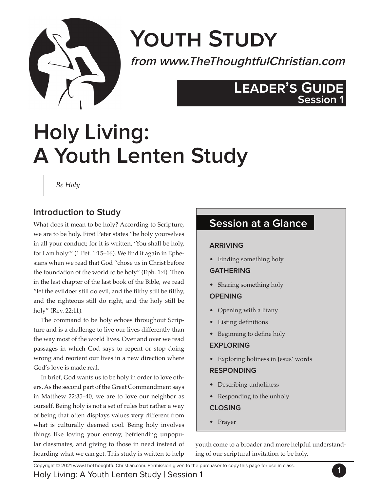

# **Youth Study**

**from www.TheThoughtfulChristian.com**

## **Leader's Guide Session 1**

# **Holy Living: A Youth Lenten Study**

*Be Holy*

## **Introduction to Study**

What does it mean to be holy? According to Scripture, we are to be holy. First Peter states "be holy yourselves in all your conduct; for it is written, 'You shall be holy, for I am holy'" (1 Pet. 1:15–16). We find it again in Ephesians when we read that God "chose us in Christ before the foundation of the world to be holy" (Eph. 1:4). Then in the last chapter of the last book of the Bible, we read "let the evildoer still do evil, and the filthy still be filthy, and the righteous still do right, and the holy still be holy" (Rev. 22:11).

The command to be holy echoes throughout Scripture and is a challenge to live our lives differently than the way most of the world lives. Over and over we read passages in which God says to repent or stop doing wrong and reorient our lives in a new direction where God's love is made real.

In brief, God wants us to be holy in order to love others. As the second part of the Great Commandment says in Matthew 22:35–40, we are to love our neighbor as ourself. Being holy is not a set of rules but rather a way of being that often displays values very different from what is culturally deemed cool. Being holy involves things like loving your enemy, befriending unpopular classmates, and giving to those in need instead of hoarding what we can get. This study is written to help

## **Session at a Glance**

#### **ARRIVING**

• Finding something holy

#### **GATHERING**

• Sharing something holy

#### **OPENING**

- Opening with a litany
- Listing definitions
- Beginning to define holy

#### **EXPLORING**

• Exploring holiness in Jesus' words

#### **RESPONDING**

- Describing unholiness
- Responding to the unholy

#### **CLOSING**

• Prayer

youth come to a broader and more helpful understanding of our scriptural invitation to be holy.

Copyright © 2021 www.TheThoughtfulChristian.com. Permission given to the purchaser to copy this page for use in class.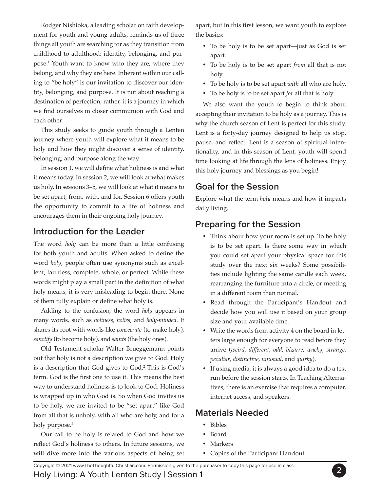Rodger Nishioka, a leading scholar on faith development for youth and young adults, reminds us of three things all youth are searching for as they transition from childhood to adulthood: identity, belonging, and purpose.1 Youth want to know who they are, where they belong, and why they are here. Inherent within our calling to "be holy" is our invitation to discover our identity, belonging, and purpose. It is not about reaching a destination of perfection; rather, it is a journey in which we find ourselves in closer communion with God and each other.

This study seeks to guide youth through a Lenten journey where youth will explore what it means to be holy and how they might discover a sense of identity, belonging, and purpose along the way.

In session 1, we will define what holiness is and what it means today. In session 2, we will look at what makes us holy. In sessions 3–5, we will look at what it means to be set apart, from, with, and for. Session 6 offers youth the opportunity to commit to a life of holiness and encourages them in their ongoing holy journey.

#### **Introduction for the Leader**

The word *holy* can be more than a little confusing for both youth and adults. When asked to define the word *holy*, people often use synonyms such as excellent, faultless, complete, whole, or perfect. While these words might play a small part in the definition of what holy means, it is very misleading to begin there. None of them fully explain or define what holy is.

Adding to the confusion, the word *holy* appears in many words, such as *holiness*, *holies*, and *holy-minded*. It shares its root with words like *consecrate* (to make holy), *sanctify* (to become holy), and *saints* (the holy ones).

Old Testament scholar Walter Brueggemann points out that holy is not a description we give to God. Holy is a description that God gives to God.2 This is God's term. God is the first one to use it. This means the best way to understand holiness is to look to God. Holiness is wrapped up in who God is. So when God invites us to be holy, we are invited to be "set apart" like God from all that is unholy, with all who are holy, and for a holy purpose.<sup>3</sup>

Our call to be holy is related to God and how we reflect God's holiness to others. In future sessions, we will dive more into the various aspects of being set apart, but in this first lesson, we want youth to explore the basics:

- To be holy is to be set apart—just as God is set apart.
- • To be holy is to be set apart *from* all that is not holy.
- • To be holy is to be set apart *with* all who are holy.
- • To be holy is to be set apart *for* all that is holy

We also want the youth to begin to think about accepting their invitation to be holy as a journey. This is why the church season of Lent is perfect for this study. Lent is a forty-day journey designed to help us stop, pause, and reflect. Lent is a season of spiritual intentionality, and in this season of Lent, youth will spend time looking at life through the lens of holiness. Enjoy this holy journey and blessings as you begin!

## **Goal for the Session**

Explore what the term *holy* means and how it impacts daily living.

## **Preparing for the Session**

- Think about how your room is set up. To be holy is to be set apart. Is there some way in which you could set apart your physical space for this study over the next six weeks? Some possibilities include lighting the same candle each week, rearranging the furniture into a circle, or meeting in a different room than normal.
- • Read through the Participant's Handout and decide how you will use it based on your group size and your available time.
- Write the words from activity 4 on the board in letters large enough for everyone to read before they arrive (*weird*, *different*, *odd*, *bizarre*, *wacky*, *strange*, *peculiar*, *distinctive*, *unusual*, and *quirky*).
- • If using media, it is always a good idea to do a test run before the session starts. In Teaching Alternatives, there is an exercise that requires a computer, internet access, and speakers.

## **Materials Needed**

- • Bibles
- • Board
- Markers
- • Copies of the Participant Handout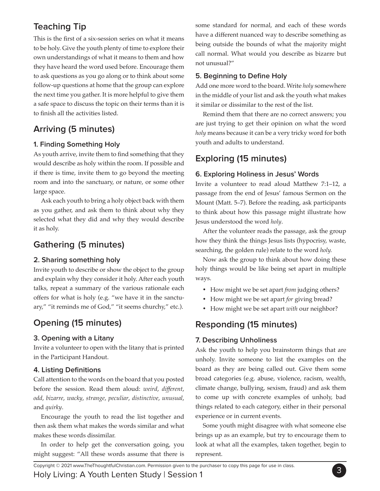## **Teaching Tip**

This is the first of a six-session series on what it means to be holy. Give the youth plenty of time to explore their own understandings of what it means to them and how they have heard the word used before. Encourage them to ask questions as you go along or to think about some follow-up questions at home that the group can explore the next time you gather. It is more helpful to give them a safe space to discuss the topic on their terms than it is to finish all the activities listed.

## **Arriving (5 minutes)**

#### **1. Finding Something Holy**

As youth arrive, invite them to find something that they would describe as holy within the room. If possible and if there is time, invite them to go beyond the meeting room and into the sanctuary, or nature, or some other large space.

Ask each youth to bring a holy object back with them as you gather, and ask them to think about why they selected what they did and why they would describe it as holy.

## **Gathering (5 minutes)**

#### **2. Sharing something holy**

Invite youth to describe or show the object to the group and explain why they consider it holy. After each youth talks, repeat a summary of the various rationale each offers for what is holy (e.g. "we have it in the sanctuary," "it reminds me of God," "it seems churchy," etc.).

## **Opening (15 minutes)**

#### **3. Opening with a Litany**

Invite a volunteer to open with the litany that is printed in the Participant Handout.

#### **4. Listing Definitions**

Call attention to the words on the board that you posted before the session. Read them aloud: *weird*, *different*, *odd*, *bizarre*, *wacky*, *strange*, *peculiar*, *distinctive*, *unusual*, and *quirky*.

Encourage the youth to read the list together and then ask them what makes the words similar and what makes these words dissimilar.

In order to help get the conversation going, you might suggest: "All these words assume that there is some standard for normal, and each of these words have a different nuanced way to describe something as being outside the bounds of what the majority might call normal. What would you describe as bizarre but not unusual?"

#### **5. Beginning to Define Holy**

Add one more word to the board. Write *holy* somewhere in the middle of your list and ask the youth what makes it similar or dissimilar to the rest of the list.

Remind them that there are no correct answers; you are just trying to get their opinion on what the word *holy* means because it can be a very tricky word for both youth and adults to understand.

## **Exploring (15 minutes)**

#### **6. Exploring Holiness in Jesus' Words**

Invite a volunteer to read aloud Matthew 7:1–12, a passage from the end of Jesus' famous Sermon on the Mount (Matt. 5–7). Before the reading, ask participants to think about how this passage might illustrate how Jesus understood the word *holy*.

After the volunteer reads the passage, ask the group how they think the things Jesus lists (hypocrisy, waste, searching, the golden rule) relate to the word *holy.*

Now ask the group to think about how doing these holy things would be like being set apart in multiple ways.

- • How might we be set apart *from* judging others?
- • How might we be set apart *for* giving bread?
- • How might we be set apart *with* our neighbor?

## **Responding (15 minutes)**

#### **7. Describing Unholiness**

Ask the youth to help you brainstorm things that are unholy. Invite someone to list the examples on the board as they are being called out. Give them some broad categories (e.g. abuse, violence, racism, wealth, climate change, bullying, sexism, fraud) and ask them to come up with concrete examples of unholy, bad things related to each category, either in their personal experience or in current events.

Some youth might disagree with what someone else brings up as an example, but try to encourage them to look at what all the examples, taken together, begin to represent.

Copyright © 2021 www.TheThoughtfulChristian.com. Permission given to the purchaser to copy this page for use in class.<br>Like by this issue of Monthle Least and Christian.com. Christian of the purchaser to copy this page for

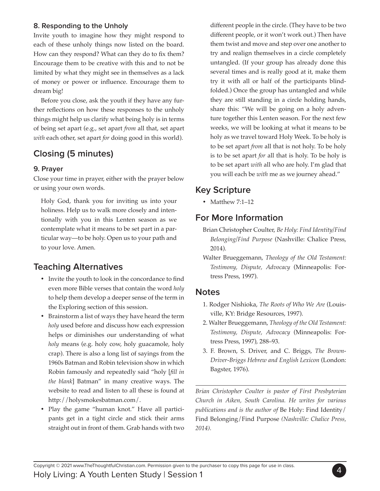#### **8. Responding to the Unholy**

Invite youth to imagine how they might respond to each of these unholy things now listed on the board. How can they respond? What can they do to fix them? Encourage them to be creative with this and to not be limited by what they might see in themselves as a lack of money or power or influence. Encourage them to dream big!

Before you close, ask the youth if they have any further reflections on how these responses to the unholy things might help us clarify what being holy is in terms of being set apart (e.g., set apart *from* all that, set apart *with* each other, set apart *for* doing good in this world).

## **Closing (5 minutes)**

#### **9. Prayer**

Close your time in prayer, either with the prayer below or using your own words.

Holy God, thank you for inviting us into your holiness. Help us to walk more closely and intentionally with you in this Lenten season as we contemplate what it means to be set part in a particular way—to be holy. Open us to your path and to your love. Amen.

## **Teaching Alternatives**

- Invite the youth to look in the concordance to find even more Bible verses that contain the word *holy*  to help them develop a deeper sense of the term in the Exploring section of this session.
- • Brainstorm a list of ways they have heard the term *holy* used before and discuss how each expression helps or diminishes our understanding of what *holy* means (e.g. holy cow, holy guacamole, holy crap). There is also a long list of sayings from the 1960s Batman and Robin television show in which Robin famously and repeatedly said "holy [*fill in the blank*] Batman" in many creative ways. The website to read and listen to all these is found at http://holysmokesbatman.com/.
- Play the game "human knot." Have all participants get in a tight circle and stick their arms straight out in front of them. Grab hands with two

different people in the circle. (They have to be two different people, or it won't work out.) Then have them twist and move and step over one another to try and realign themselves in a circle completely untangled. (If your group has already done this several times and is really good at it, make them try it with all or half of the participants blindfolded.) Once the group has untangled and while they are still standing in a circle holding hands, share this: "We will be going on a holy adventure together this Lenten season. For the next few weeks, we will be looking at what it means to be holy as we travel toward Holy Week. To be holy is to be set apart *from* all that is not holy. To be holy is to be set apart *for* all that is holy. To be holy is to be set apart *with* all who are holy. I'm glad that you will each be *with* me as we journey ahead."

## **Key Scripture**

• Matthew 7:1-12

#### **For More Information**

- Brian Christopher Coulter, *Be Holy: Find Identity/Find Belonging/Find Purpose* (Nashville: Chalice Press, 2014).
- Walter Brueggemann, *Theology of the Old Testament: Testimony, Dispute, Advocacy* (Minneapolis: Fortress Press, 1997).

#### **Notes**

- 1. Rodger Nishioka, *The Roots of Who We Are* (Louisville, KY: Bridge Resources, 1997).
- 2. Walter Brueggemann, *Theology of the Old Testament: Testimony, Dispute, Advocacy* (Minneapolis: Fortress Press, 1997), 288–93.
- 3. F. Brown, S. Driver, and C. Briggs, *The Brown-Driver-Briggs Hebrew and English Lexicon* (London: Bagster, 1976).

*Brian Christopher Coulter is pastor of First Presbyterian Church in Aiken, South Carolina. He writes for various publications and is the author of* Be Holy: Find Identity/ Find Belonging/Find Purpose *(Nashville: Chalice Press, 2014).*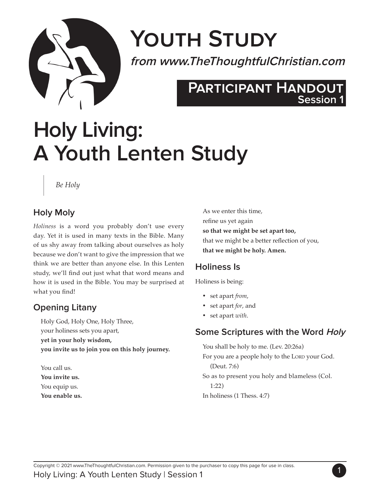

# **Youth Study**

**from www.TheThoughtfulChristian.com**

## **Participant Handout Participant HandoutSession 1**

# **Holy Living: A Youth Lenten Study**

#### *Be Holy*

## **Holy Moly**

*Holiness* is a word you probably don't use every day. Yet it is used in many texts in the Bible. Many of us shy away from talking about ourselves as holy because we don't want to give the impression that we think we are better than anyone else. In this Lenten study, we'll find out just what that word means and how it is used in the Bible. You may be surprised at what you find!

## **Opening Litany**

Holy God, Holy One, Holy Three, your holiness sets you apart, **yet in your holy wisdom, you invite us to join you on this holy journey.** 

You call us. **You invite us.**  You equip us. **You enable us.**  As we enter this time, refine us yet again **so that we might be set apart too,**  that we might be a better reflection of you, **that we might be holy. Amen.**

## **Holiness Is**

Holiness is being:

- • set apart *from*,
- • set apart *for*, and
- • set apart *with*.

## **Some Scriptures with the Word Holy**

You shall be holy to me. (Lev. 20:26a) For you are a people holy to the LORD your God. (Deut. 7:6) So as to present you holy and blameless (Col. 1:22) In holiness (1 Thess. 4:7)

1